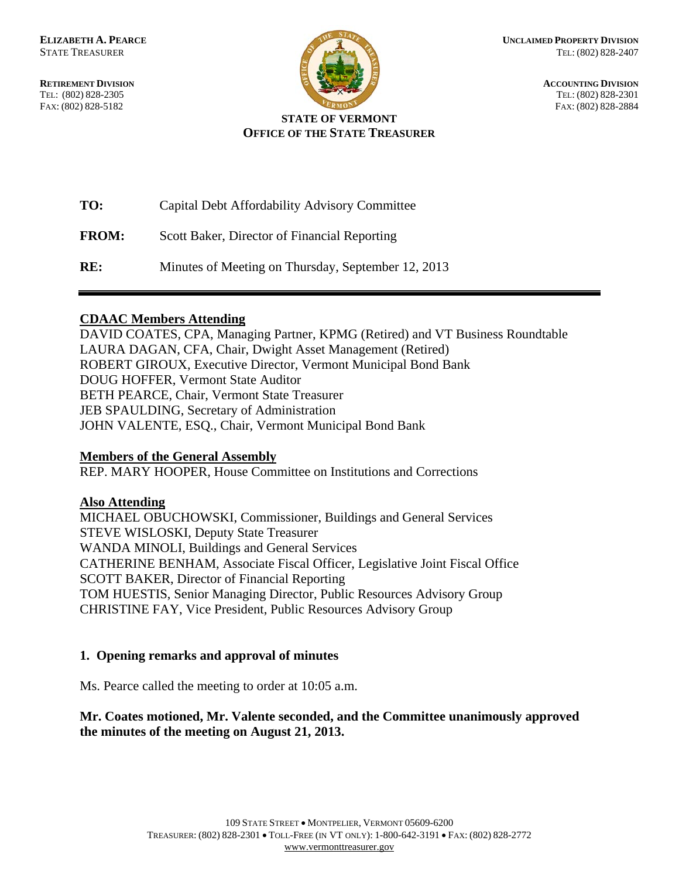**RETIREMENT DIVISION ACCOUNTING DIVISION** TEL: (802) 828-2305 TEL: (802) 828-2301 FAX: (802) 828-5182 FAX: (802) 828-2884



## **STATE OF VERMONT OFFICE OF THE STATE TREASURER**

| TO:          | Capital Debt Affordability Advisory Committee      |
|--------------|----------------------------------------------------|
| <b>FROM:</b> | Scott Baker, Director of Financial Reporting       |
| RE:          | Minutes of Meeting on Thursday, September 12, 2013 |

## **CDAAC Members Attending**

DAVID COATES, CPA, Managing Partner, KPMG (Retired) and VT Business Roundtable LAURA DAGAN, CFA, Chair, Dwight Asset Management (Retired) ROBERT GIROUX, Executive Director, Vermont Municipal Bond Bank DOUG HOFFER, Vermont State Auditor BETH PEARCE, Chair, Vermont State Treasurer JEB SPAULDING, Secretary of Administration JOHN VALENTE, ESQ., Chair, Vermont Municipal Bond Bank

# **Members of the General Assembly**

REP. MARY HOOPER, House Committee on Institutions and Corrections

# **Also Attending**

MICHAEL OBUCHOWSKI, Commissioner, Buildings and General Services STEVE WISLOSKI, Deputy State Treasurer WANDA MINOLI, Buildings and General Services CATHERINE BENHAM, Associate Fiscal Officer, Legislative Joint Fiscal Office SCOTT BAKER, Director of Financial Reporting TOM HUESTIS, Senior Managing Director, Public Resources Advisory Group CHRISTINE FAY, Vice President, Public Resources Advisory Group

# **1. Opening remarks and approval of minutes**

Ms. Pearce called the meeting to order at 10:05 a.m.

# **Mr. Coates motioned, Mr. Valente seconded, and the Committee unanimously approved the minutes of the meeting on August 21, 2013.**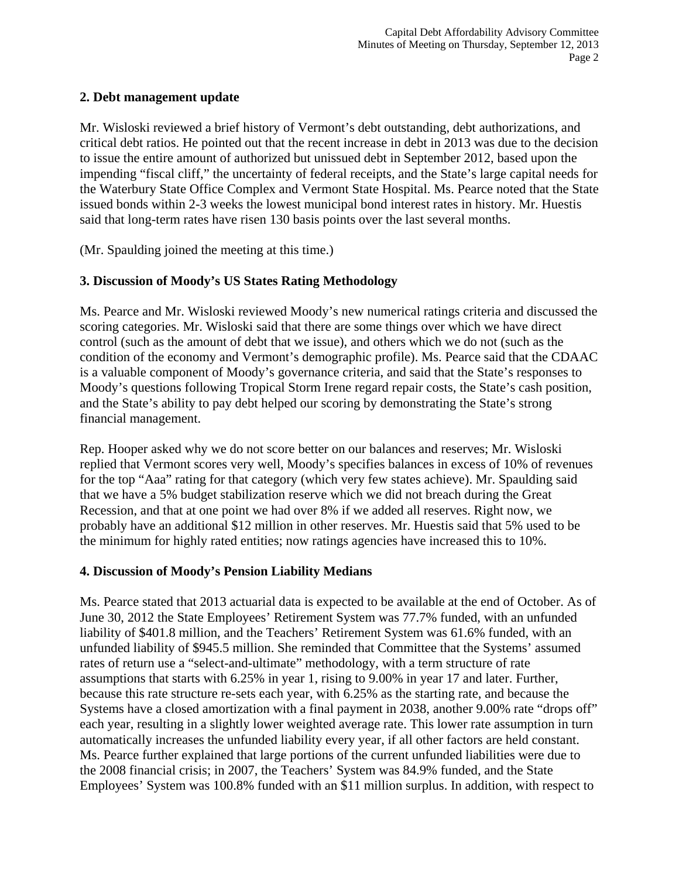### **2. Debt management update**

Mr. Wisloski reviewed a brief history of Vermont's debt outstanding, debt authorizations, and critical debt ratios. He pointed out that the recent increase in debt in 2013 was due to the decision to issue the entire amount of authorized but unissued debt in September 2012, based upon the impending "fiscal cliff," the uncertainty of federal receipts, and the State's large capital needs for the Waterbury State Office Complex and Vermont State Hospital. Ms. Pearce noted that the State issued bonds within 2-3 weeks the lowest municipal bond interest rates in history. Mr. Huestis said that long-term rates have risen 130 basis points over the last several months.

(Mr. Spaulding joined the meeting at this time.)

## **3. Discussion of Moody's US States Rating Methodology**

Ms. Pearce and Mr. Wisloski reviewed Moody's new numerical ratings criteria and discussed the scoring categories. Mr. Wisloski said that there are some things over which we have direct control (such as the amount of debt that we issue), and others which we do not (such as the condition of the economy and Vermont's demographic profile). Ms. Pearce said that the CDAAC is a valuable component of Moody's governance criteria, and said that the State's responses to Moody's questions following Tropical Storm Irene regard repair costs, the State's cash position, and the State's ability to pay debt helped our scoring by demonstrating the State's strong financial management.

Rep. Hooper asked why we do not score better on our balances and reserves; Mr. Wisloski replied that Vermont scores very well, Moody's specifies balances in excess of 10% of revenues for the top "Aaa" rating for that category (which very few states achieve). Mr. Spaulding said that we have a 5% budget stabilization reserve which we did not breach during the Great Recession, and that at one point we had over 8% if we added all reserves. Right now, we probably have an additional \$12 million in other reserves. Mr. Huestis said that 5% used to be the minimum for highly rated entities; now ratings agencies have increased this to 10%.

## **4. Discussion of Moody's Pension Liability Medians**

Ms. Pearce stated that 2013 actuarial data is expected to be available at the end of October. As of June 30, 2012 the State Employees' Retirement System was 77.7% funded, with an unfunded liability of \$401.8 million, and the Teachers' Retirement System was 61.6% funded, with an unfunded liability of \$945.5 million. She reminded that Committee that the Systems' assumed rates of return use a "select-and-ultimate" methodology, with a term structure of rate assumptions that starts with 6.25% in year 1, rising to 9.00% in year 17 and later. Further, because this rate structure re-sets each year, with 6.25% as the starting rate, and because the Systems have a closed amortization with a final payment in 2038, another 9.00% rate "drops off" each year, resulting in a slightly lower weighted average rate. This lower rate assumption in turn automatically increases the unfunded liability every year, if all other factors are held constant. Ms. Pearce further explained that large portions of the current unfunded liabilities were due to the 2008 financial crisis; in 2007, the Teachers' System was 84.9% funded, and the State Employees' System was 100.8% funded with an \$11 million surplus. In addition, with respect to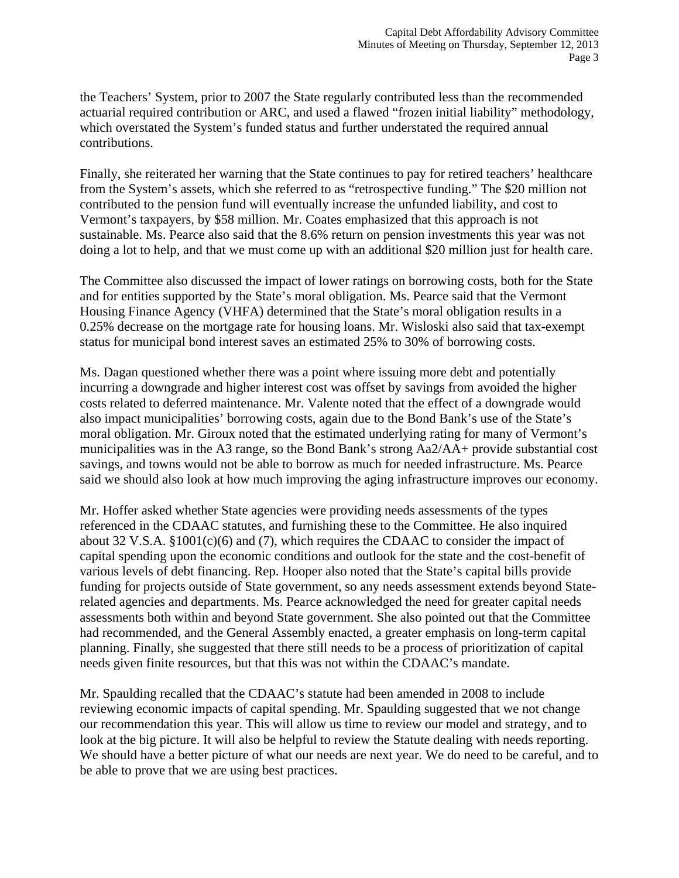the Teachers' System, prior to 2007 the State regularly contributed less than the recommended actuarial required contribution or ARC, and used a flawed "frozen initial liability" methodology, which overstated the System's funded status and further understated the required annual contributions.

Finally, she reiterated her warning that the State continues to pay for retired teachers' healthcare from the System's assets, which she referred to as "retrospective funding." The \$20 million not contributed to the pension fund will eventually increase the unfunded liability, and cost to Vermont's taxpayers, by \$58 million. Mr. Coates emphasized that this approach is not sustainable. Ms. Pearce also said that the 8.6% return on pension investments this year was not doing a lot to help, and that we must come up with an additional \$20 million just for health care.

The Committee also discussed the impact of lower ratings on borrowing costs, both for the State and for entities supported by the State's moral obligation. Ms. Pearce said that the Vermont Housing Finance Agency (VHFA) determined that the State's moral obligation results in a 0.25% decrease on the mortgage rate for housing loans. Mr. Wisloski also said that tax-exempt status for municipal bond interest saves an estimated 25% to 30% of borrowing costs.

Ms. Dagan questioned whether there was a point where issuing more debt and potentially incurring a downgrade and higher interest cost was offset by savings from avoided the higher costs related to deferred maintenance. Mr. Valente noted that the effect of a downgrade would also impact municipalities' borrowing costs, again due to the Bond Bank's use of the State's moral obligation. Mr. Giroux noted that the estimated underlying rating for many of Vermont's municipalities was in the A3 range, so the Bond Bank's strong Aa2/AA+ provide substantial cost savings, and towns would not be able to borrow as much for needed infrastructure. Ms. Pearce said we should also look at how much improving the aging infrastructure improves our economy.

Mr. Hoffer asked whether State agencies were providing needs assessments of the types referenced in the CDAAC statutes, and furnishing these to the Committee. He also inquired about 32 V.S.A. §1001(c)(6) and (7), which requires the CDAAC to consider the impact of capital spending upon the economic conditions and outlook for the state and the cost-benefit of various levels of debt financing. Rep. Hooper also noted that the State's capital bills provide funding for projects outside of State government, so any needs assessment extends beyond Staterelated agencies and departments. Ms. Pearce acknowledged the need for greater capital needs assessments both within and beyond State government. She also pointed out that the Committee had recommended, and the General Assembly enacted, a greater emphasis on long-term capital planning. Finally, she suggested that there still needs to be a process of prioritization of capital needs given finite resources, but that this was not within the CDAAC's mandate.

Mr. Spaulding recalled that the CDAAC's statute had been amended in 2008 to include reviewing economic impacts of capital spending. Mr. Spaulding suggested that we not change our recommendation this year. This will allow us time to review our model and strategy, and to look at the big picture. It will also be helpful to review the Statute dealing with needs reporting. We should have a better picture of what our needs are next year. We do need to be careful, and to be able to prove that we are using best practices.